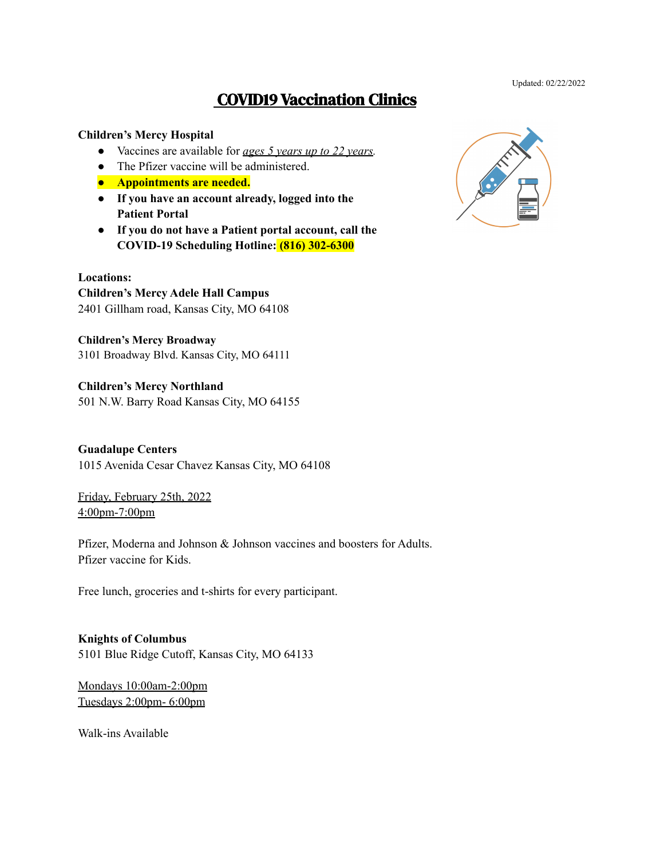Updated: 02/22/2022

# COVID19 Vaccination Clinics

#### **Children's Mercy Hospital**

- Vaccines are available for *ages 5 years up to 22 years.*
- The Pfizer vaccine will be administered.
- **● Appointments are needed.**
- **● If you have an account already, logged into the Patient Portal**
- **● If you do not have a Patient portal account, call the COVID-19 Scheduling Hotline: (816) 302-6300**

#### **Locations:**

**Children's Mercy Adele Hall Campus** 2401 Gillham road, Kansas City, MO 64108

**Children's Mercy Broadway** 3101 Broadway Blvd. Kansas City, MO 64111

**Children's Mercy Northland** 501 N.W. Barry Road Kansas City, MO 64155

#### **Guadalupe Centers**

1015 Avenida Cesar Chavez Kansas City, MO 64108

Friday, February 25th, 2022 4:00pm-7:00pm

Pfizer, Moderna and Johnson & Johnson vaccines and boosters for Adults. Pfizer vaccine for Kids.

Free lunch, groceries and t-shirts for every participant.

#### **Knights of Columbus**

5101 Blue Ridge Cutoff, Kansas City, MO 64133

Mondays 10:00am-2:00pm Tuesdays 2:00pm- 6:00pm

Walk-ins Available

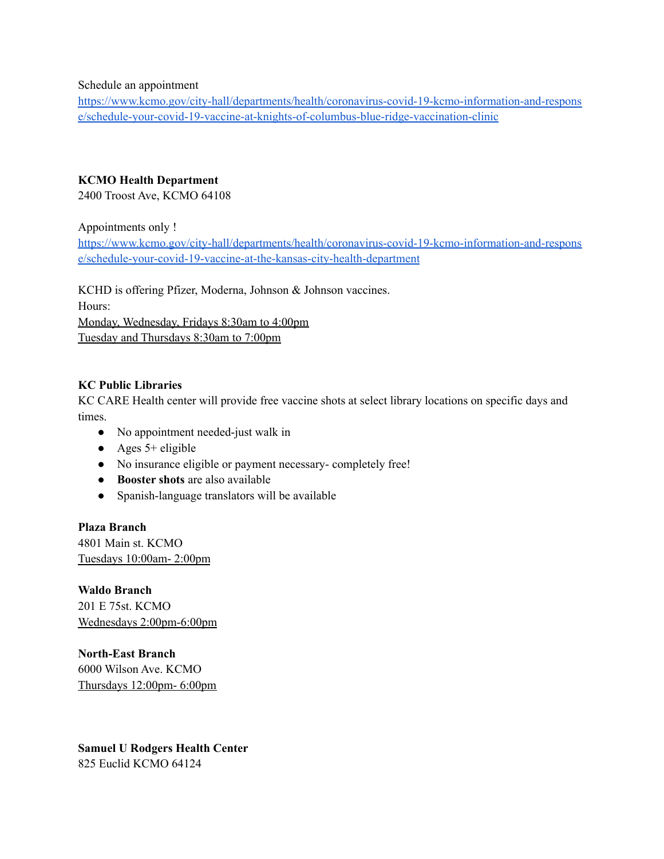Schedule an appointment

[https://www.kcmo.gov/city-hall/departments/health/coronavirus-covid-19-kcmo-information-and-respons](https://www.kcmo.gov/city-hall/departments/health/coronavirus-covid-19-kcmo-information-and-response/schedule-your-covid-19-vaccine-at-knights-of-columbus-blue-ridge-vaccination-clinic) [e/schedule-your-covid-19-vaccine-at-knights-of-columbus-blue-ridge-vaccination-clinic](https://www.kcmo.gov/city-hall/departments/health/coronavirus-covid-19-kcmo-information-and-response/schedule-your-covid-19-vaccine-at-knights-of-columbus-blue-ridge-vaccination-clinic)

## **KCMO Health Department**

2400 Troost Ave, KCMO 64108

Appointments only !

[https://www.kcmo.gov/city-hall/departments/health/coronavirus-covid-19-kcmo-information-and-respons](https://www.kcmo.gov/city-hall/departments/health/coronavirus-covid-19-kcmo-information-and-response/schedule-your-covid-19-vaccine-at-the-kansas-city-health-department) [e/schedule-your-covid-19-vaccine-at-the-kansas-city-health-department](https://www.kcmo.gov/city-hall/departments/health/coronavirus-covid-19-kcmo-information-and-response/schedule-your-covid-19-vaccine-at-the-kansas-city-health-department)

KCHD is offering Pfizer, Moderna, Johnson & Johnson vaccines. Hours: Monday, Wednesday, Fridays 8:30am to 4:00pm Tuesday and Thursdays 8:30am to 7:00pm

## **KC Public Libraries**

KC CARE Health center will provide free vaccine shots at select library locations on specific days and times.

- No appointment needed-just walk in
- $\bullet$  Ages 5+ eligible
- No insurance eligible or payment necessary- completely free!
- **Booster shots** are also available
- Spanish-language translators will be available

**Plaza Branch** 4801 Main st. KCMO Tuesdays 10:00am- 2:00pm

**Waldo Branch** 201 E 75st. KCMO Wednesdays 2:00pm-6:00pm

**North-East Branch** 6000 Wilson Ave. KCMO Thursdays 12:00pm- 6:00pm

**Samuel U Rodgers Health Center** 825 Euclid KCMO 64124